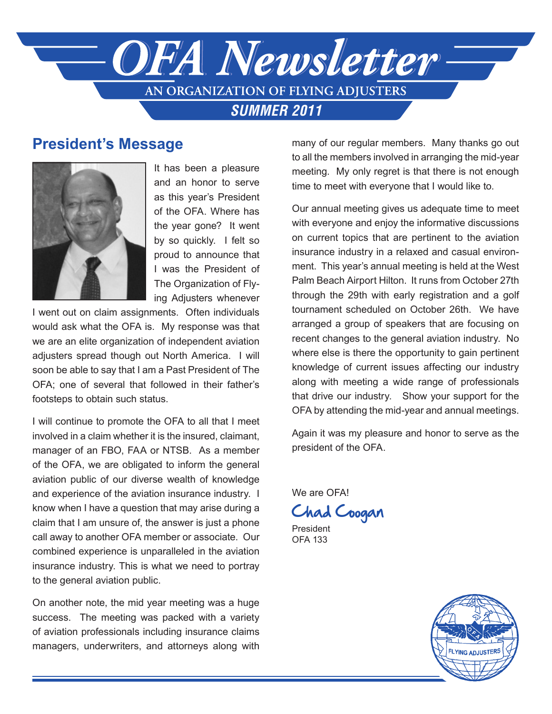

# **President's Message**



It has been a pleasure and an honor to serve as this year's President of the OFA. Where has the year gone? It went by so quickly. I felt so proud to announce that I was the President of The Organization of Flying Adjusters whenever

I went out on claim assignments. Often individuals would ask what the OFA is. My response was that we are an elite organization of independent aviation adjusters spread though out North America. I will soon be able to say that I am a Past President of The OFA; one of several that followed in their father's footsteps to obtain such status.

I will continue to promote the OFA to all that I meet involved in a claim whether it is the insured, claimant, manager of an FBO, FAA or NTSB. As a member of the OFA, we are obligated to inform the general aviation public of our diverse wealth of knowledge and experience of the aviation insurance industry. I know when I have a question that may arise during a claim that I am unsure of, the answer is just a phone call away to another OFA member or associate. Our combined experience is unparalleled in the aviation insurance industry. This is what we need to portray to the general aviation public.

On another note, the mid year meeting was a huge success. The meeting was packed with a variety of aviation professionals including insurance claims managers, underwriters, and attorneys along with

many of our regular members. Many thanks go out to all the members involved in arranging the mid-year meeting. My only regret is that there is not enough time to meet with everyone that I would like to.

Our annual meeting gives us adequate time to meet with everyone and enjoy the informative discussions on current topics that are pertinent to the aviation insurance industry in a relaxed and casual environment. This year's annual meeting is held at the West Palm Beach Airport Hilton. It runs from October 27th through the 29th with early registration and a golf tournament scheduled on October 26th. We have arranged a group of speakers that are focusing on recent changes to the general aviation industry. No where else is there the opportunity to gain pertinent knowledge of current issues affecting our industry along with meeting a wide range of professionals that drive our industry. Show your support for the OFA by attending the mid-year and annual meetings.

Again it was my pleasure and honor to serve as the president of the OFA.

We are OFA!

Chad Coogan

President OFA 133

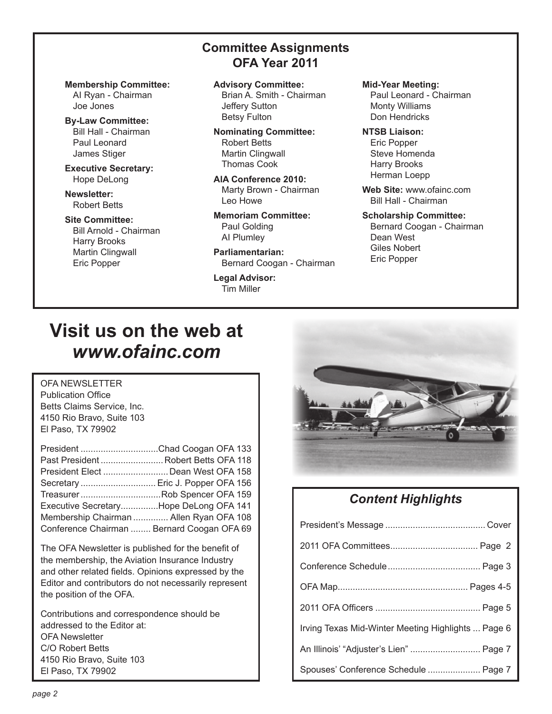**Committee Assignments OFA Year 2011**

**Membership Committee:** AI Ryan - Chairman Joe Jones

**By-Law Committee:** Bill Hall - Chairman Paul Leonard James Stiger

**Executive Secretary:** Hope DeLong

**Newsletter:** Robert Betts

#### **Site Committee:**

Bill Arnold - Chairman Harry Brooks Martin Clingwall Eric Popper

#### **Advisory Committee:** Brian A. Smith - Chairman Jeffery Sutton Betsy Fulton

**Nominating Committee:** Robert Betts Martin Clingwall Thomas Cook

**AlA Conference 2010:** Marty Brown - Chairman Leo Howe

**Memoriam Committee:** Paul Golding AI Plumley

**Parliamentarian:** Bernard Coogan - Chairman

**Legal Advisor:** Tim Miller

#### **Mid-Year Meeting:**

Paul Leonard - Chairman Monty Williams Don Hendricks

**NTSB Liaison:** Eric Popper Steve Homenda Harry Brooks Herman Loepp

**Web Site:** www.ofainc.com Bill Hall - Chairman

#### **Scholarship Committee:** Bernard Coogan - Chairman Dean West Giles Nobert Eric Popper

# **Visit us on the web at** *www.ofainc.com*

OFA NEWSLETTER Publication Office Betts Claims Service, Inc. 4150 Rio Bravo, Suite 103 El Paso, TX 79902

| President Chad Coogan OFA 133              |  |
|--------------------------------------------|--|
| Past President  Robert Betts OFA 118       |  |
| President Elect  Dean West OFA 158         |  |
| Secretary  Eric J. Popper OFA 156          |  |
| TreasurerRob Spencer OFA 159               |  |
| Executive SecretaryHope DeLong OFA 141     |  |
| Membership Chairman  Allen Ryan OFA 108    |  |
| Conference Chairman  Bernard Coogan OFA 69 |  |
|                                            |  |

The OFA Newsletter is published for the benefit of the membership, the Aviation Insurance Industry and other related fields. Opinions expressed by the Editor and contributors do not necessarily represent the position of the OFA.

Contributions and correspondence should be addressed to the Editor at: OFA Newsletter C/O Robert Betts 4150 Rio Bravo, Suite 103 El Paso, TX 79902



# *Content Highlights*

| Irving Texas Mid-Winter Meeting Highlights  Page 6 |  |
|----------------------------------------------------|--|
| An Illinois' "Adjuster's Lien"  Page 7             |  |
| Spouses' Conference Schedule  Page 7               |  |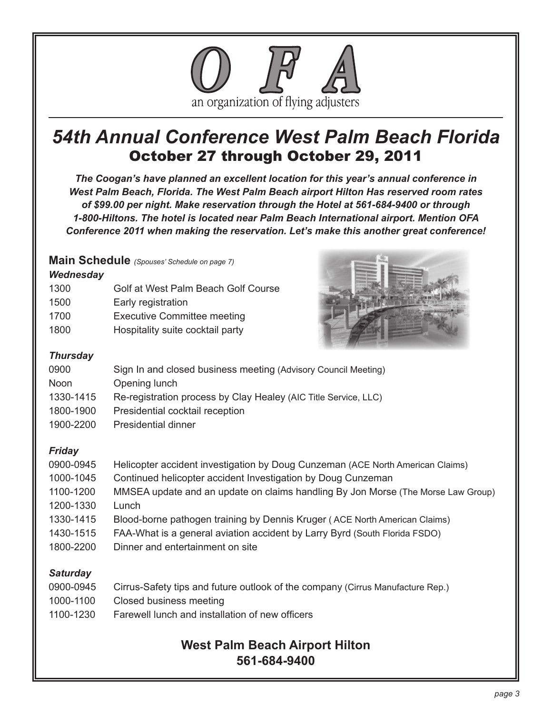

# *54th Annual Conference West Palm Beach Florida* October 27 through October 29, 2011

*The Coogan's have planned an excellent location for this year's annual conference in West Palm Beach, Florida. The West Palm Beach airport Hilton Has reserved room rates of \$99.00 per night. Make reservation through the Hotel at 561-684-9400 or through 1-800-Hiltons. The hotel is located near Palm Beach International airport. Mention OFA Conference 2011 when making the reservation. Let's make this another great conference!*

## **Main Schedule** *(Spouses' Schedule on page 7)*

### *Wednesday*

| 1300 | Golf at West Palm Beach Golf Course |
|------|-------------------------------------|
| 1500 | Early registration                  |
| 1700 | <b>Executive Committee meeting</b>  |
| 1800 | Hospitality suite cocktail party    |



## *Thursday*

| 0900        | Sign In and closed business meeting (Advisory Council Meeting)  |
|-------------|-----------------------------------------------------------------|
| <b>Noon</b> | Opening lunch                                                   |
| 1330-1415   | Re-registration process by Clay Healey (AIC Title Service, LLC) |
| 1800-1900   | Presidential cocktail reception                                 |

1900-2200 Presidential dinner

## *Friday*

| 0900-0945 | Helicopter accident investigation by Doug Cunzeman (ACE North American Claims)   |
|-----------|----------------------------------------------------------------------------------|
| 1000-1045 | Continued helicopter accident Investigation by Doug Cunzeman                     |
| 1100-1200 | MMSEA update and an update on claims handling By Jon Morse (The Morse Law Group) |
| 1200-1330 | Lunch                                                                            |
| 1330-1415 | Blood-borne pathogen training by Dennis Kruger (ACE North American Claims)       |
| 1430-1515 | FAA-What is a general aviation accident by Larry Byrd (South Florida FSDO)       |
| 1800-2200 | Dinner and entertainment on site                                                 |

*Saturday*

| 0900-0945 | Cirrus-Safety tips and future outlook of the company (Cirrus Manufacture Rep.) |
|-----------|--------------------------------------------------------------------------------|
|-----------|--------------------------------------------------------------------------------|

- 1000-1100 Closed business meeting
- 1100-1230 Farewell lunch and installation of new officers

# **West Palm Beach Airport Hilton 561-684-9400**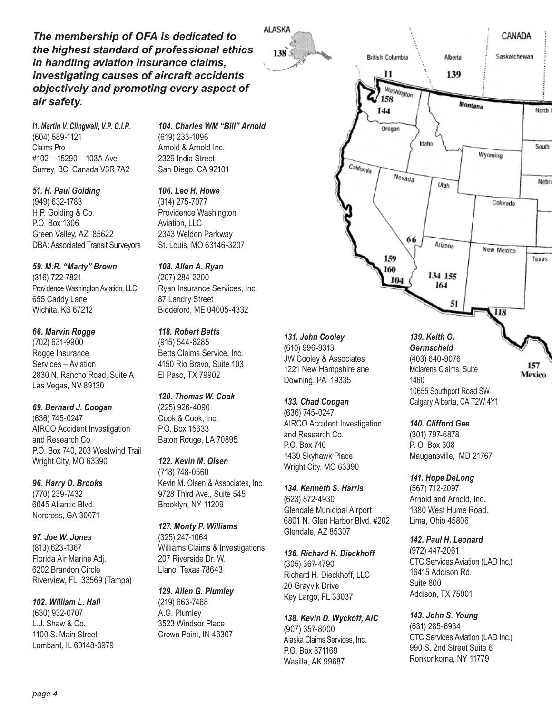*The membership of OFA is dedicated to the highest standard of professional ethics in handling aviation insurance claims, investigating causes of aircraft accidents objectively and promoting every aspect of air safety.*

*I1. Martin V. Clingwall, V.P. C.I.P.* (604) 589-1121 Claims Pro #102 – 15290 – 103A Ave. Surrey, BC, Canada V3R 7A2

*51. H. Paul Golding* (949) 632-1783 H.P. Golding & Co. P.O. Box 1306 Green Valley, AZ 85622 DBA: Associated Transit Surveyors

*59. M.R. "Marty" Brown* (316) 722-7821 Providence Washington Aviation, LLC 655 Caddy Lane Wichita, KS 67212

*66. Marvin Rogge* (702) 631-9900 Rogge Insurance Services – Aviation 2830 N. Rancho Road, Suite A Las Vegas, NV 89130

*69. Bernard J. Coogan* (636) 745-0247 AIRCO Accident Investigation and Research Co. P.O. Box 740, 203 Westwind Trail Wright City, MO 63390

*96. Harry D. Brooks* (770) 239-7432 6045 Atlantic Blvd. Norcross, GA 30071

*97. Joe W. Jones* (813) 623-1367 Florida Air Marine Adj. 6202 Brandon Circle Riverview, FL 33569 (Tampa)

*102. William L. Hall* (630) 932-0707 L.J. Shaw & Co. 1100 S. Main Street Lombard, IL 60148-3979 *104. Charles WM "Bill" Arnold* (619) 233-1096 Arnold & Arnold Inc. 2329 India Street San Diego, CA 92101

ALASKA

 $138<sup>3</sup>$ 

*106. Leo H. Howe* (314) 275-7077 Providence Washington Aviation, LLC 2343 Weldon Parkway St. Louis, MO 63146-3207

*108. Allen A. Ryan* (207) 284-2200 Ryan Insurance Services, Inc. 87 Landry Street Biddeford, ME 04005-4332

*118. Robert Betts* (915) 544-8285 Betts Claims Service, Inc. 4150 Rio Bravo, Suite 103 El Paso, TX 79902

*120. Thomas W. Cook* (225) 926-4090 Cook & Cook, Inc. P.O. Box 15633 Baton Rouge, LA 70895

*122. Kevin M. Olsen* (718) 748-0560 Kevin M. Olsen & Associates, Inc. 9728 Third Ave., Suite 545 Brooklyn, NY 11209

*127. Monty P. Williams* (325) 247-1064 Williams Claims & Investigations 207 Riverside Dr. W. Llano, Texas 78643

*129. Allen G. Plumley* (219) 663-7468 A.G. Plumley 3523 Windsor Place Crown Point, IN 46307



*131. John Cooley* 

(610) 996-9313 JW Cooley & Associates 1221 New Hampshire ane Downing, PA 19335

*133. Chad Coogan*

(636) 745-0247 AIRCO Accident Investigation and Research Co. P.O. Box 740 1439 Skyhawk Place Wright City, MO 63390

*134. Kenneth S. Harris* (623) 872-4930 Glendale Municipal Airport 6801 N. Glen Harbor Blvd. #202 Glendale, AZ 85307

*136. Richard H. Dieckhoff* (305) 367-4790 Richard H. Dieckhoff, LLC 20 Grayvik Drive Key Largo, FL 33037

*138. Kevin D. Wyckoff, AIC* (907) 357-8000 Alaska Claims Services, Inc. P.O. Box 871169 Wasilla, AK 99687

*139. Keith G. Germscheid* (403) 640-9076 Mclarens Claims, Suite 1460 10655 Southport Road SW Calgary Alberta, CA T2W 4Y1

157 Mexico

*140. Clifford Gee*

(301) 797-6878 P. O. Box 308 Maugansville, MD 21767

*141. Hope DeLong*

(567) 712-2097 Arnold and Arnold, Inc. 1380 West Hume Road. Lima, Ohio 45806

*142. Paul H. Leonard*

(972) 447-2061 CTC Services Aviation (LAD Inc.) 16415 Addison Rd. Suite 800 Addison, TX 75001

*143. John S. Young* (631) 285-6934 CTC Services Aviation (LAD Inc.) 990 S. 2nd Street Suite 6 Ronkonkoma, NY 11779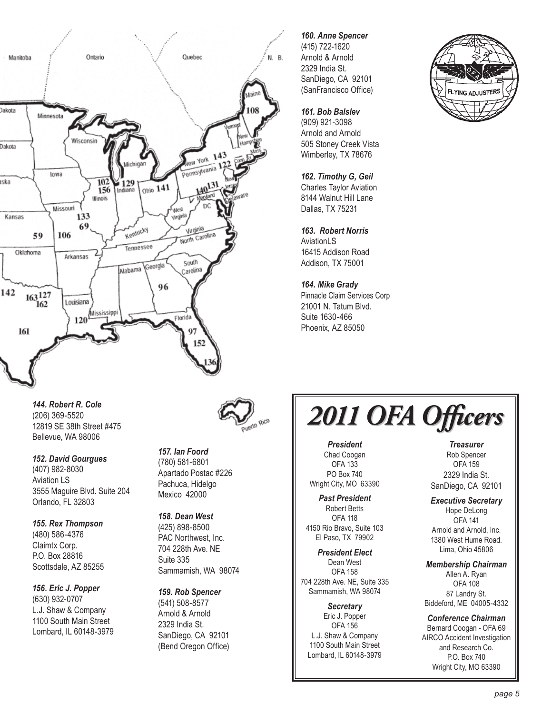

# *160. Anne Spencer* (415) 722-1620

Arnold & Arnold 2329 India St. SanDiego, CA 92101 (SanFrancisco Office)

#### *161. Bob Balslev*

(909) 921-3098 Arnold and Arnold 505 Stoney Creek Vista Wimberley, TX 78676

#### *162. Timothy G, Geil* Charles Taylor Aviation 8144 Walnut Hill Lane Dallas, TX 75231

*163. Robert Norris* **AviationLS** 16415 Addison Road Addison, TX 75001

#### *164. Mike Grady* Pinnacle Claim Services Corp

21001 N. Tatum Blvd. Suite 1630-466 Phoenix, AZ 85050



*144. Robert R. Cole* (206) 369-5520 12819 SE 38th Street #475 Bellevue, WA 98006

*152. David Gourgues* (407) 982-8030 Aviation LS 3555 Maguire Blvd. Suite 204

Orlando, FL 32803 *155. Rex Thompson* (480) 586-4376 Claimtx Corp. P.O. Box 28816 Scottsdale, AZ 85255

*156. Eric J. Popper* (630) 932-0707

L.J. Shaw & Company 1100 South Main Street Lombard, IL 60148-3979



*157. Ian Foord* (780) 581-6801 Apartado Postac #226 Pachuca, Hidelgo Mexico 42000

*158. Dean West* (425) 898-8500 PAC Northwest, Inc. 704 228th Ave. NE Suite 335 Sammamish, WA 98074

*159. Rob Spencer* (541) 508-8577 Arnold & Arnold 2329 India St.

SanDiego, CA 92101 (Bend Oregon Office) *2011 OFA Officers*

*President* Chad Coogan OFA 133 PO Box 740 Wright City, MO 63390

*Past President* Robert Betts OFA 118 4150 Rio Bravo, Suite 103 El Paso, TX 79902

*President Elect*  Dean West OFA 158 704 228th Ave. NE, Suite 335 Sammamish, WA 98074

*Secretary* Eric J. Popper OFA 156 L.J. Shaw & Company 1100 South Main Street Lombard, IL 60148-3979

*Treasurer* Rob Spencer OFA 159 2329 India St. SanDiego, CA 92101

*Executive Secretary* Hope DeLong OFA 141 Arnold and Arnold, Inc. 1380 West Hume Road. Lima, Ohio 45806

*Membership Chairman* Allen A. Ryan OFA 108 87 Landry St. Biddeford, ME 04005-4332

*Conference Chairman* Bernard Coogan - OFA 69 AIRCO Accident Investigation and Research Co. P.O. Box 740 Wright City, MO 63390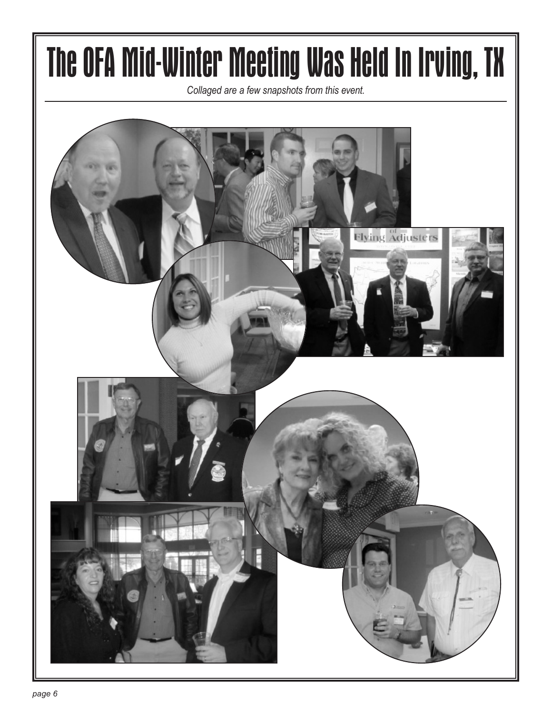# The OFA Mid-Winter Meeting Was Held In Irving, TX

*Collaged are a few snapshots from this event.*

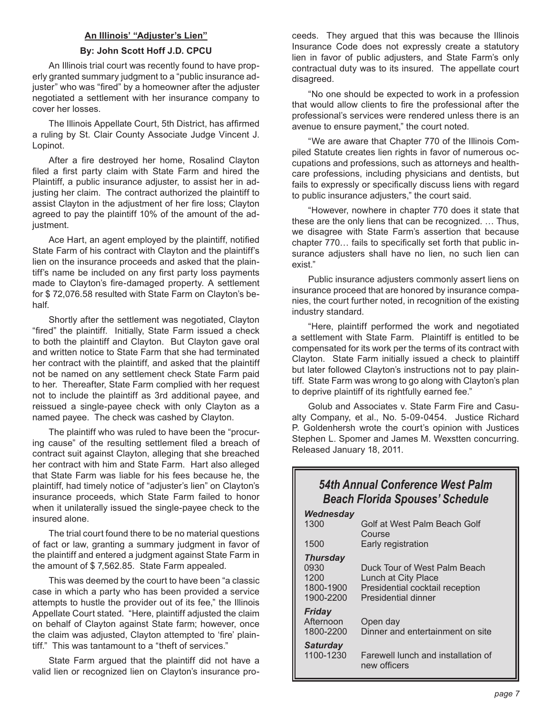#### **An Illinois' "Adjuster's Lien"**

#### **By: John Scott Hoff J.D. CPCU**

An Illinois trial court was recently found to have properly granted summary judgment to a "public insurance adjuster" who was "fired" by a homeowner after the adjuster negotiated a settlement with her insurance company to cover her losses.

The Illinois Appellate Court, 5th District, has affirmed a ruling by St. Clair County Associate Judge Vincent J. Lopinot.

After a fire destroyed her home, Rosalind Clayton filed a first party claim with State Farm and hired the Plaintiff, a public insurance adjuster, to assist her in adjusting her claim. The contract authorized the plaintiff to assist Clayton in the adjustment of her fire loss; Clayton agreed to pay the plaintiff 10% of the amount of the adjustment.

Ace Hart, an agent employed by the plaintiff, notified State Farm of his contract with Clayton and the plaintiff's lien on the insurance proceeds and asked that the plaintiff's name be included on any first party loss payments made to Clayton's fire-damaged property. A settlement for \$ 72,076.58 resulted with State Farm on Clayton's behalf.

Shortly after the settlement was negotiated, Clayton "fired" the plaintiff. Initially, State Farm issued a check to both the plaintiff and Clayton. But Clayton gave oral and written notice to State Farm that she had terminated her contract with the plaintiff, and asked that the plaintiff not be named on any settlement check State Farm paid to her. Thereafter, State Farm complied with her request not to include the plaintiff as 3rd additional payee, and reissued a single-payee check with only Clayton as a named payee. The check was cashed by Clayton.

The plaintiff who was ruled to have been the "procuring cause" of the resulting settlement filed a breach of contract suit against Clayton, alleging that she breached her contract with him and State Farm. Hart also alleged that State Farm was liable for his fees because he, the plaintiff, had timely notice of "adjuster's lien" on Clayton's insurance proceeds, which State Farm failed to honor when it unilaterally issued the single-payee check to the insured alone.

The trial court found there to be no material questions of fact or law, granting a summary judgment in favor of the plaintiff and entered a judgment against State Farm in the amount of \$ 7,562.85. State Farm appealed.

This was deemed by the court to have been "a classic case in which a party who has been provided a service attempts to hustle the provider out of its fee," the Illinois Appellate Court stated. "Here, plaintiff adjusted the claim on behalf of Clayton against State farm; however, once the claim was adjusted, Clayton attempted to 'fire' plaintiff." This was tantamount to a "theft of services."

State Farm argued that the plaintiff did not have a valid lien or recognized lien on Clayton's insurance pro-

ceeds. They argued that this was because the Illinois Insurance Code does not expressly create a statutory lien in favor of public adjusters, and State Farm's only contractual duty was to its insured. The appellate court disagreed.

"No one should be expected to work in a profession that would allow clients to fire the professional after the professional's services were rendered unless there is an avenue to ensure payment," the court noted.

"We are aware that Chapter 770 of the Illinois Compiled Statute creates lien rights in favor of numerous occupations and professions, such as attorneys and healthcare professions, including physicians and dentists, but fails to expressly or specifically discuss liens with regard to public insurance adjusters," the court said.

"However, nowhere in chapter 770 does it state that these are the only liens that can be recognized. … Thus, we disagree with State Farm's assertion that because chapter 770… fails to specifically set forth that public insurance adjusters shall have no lien, no such lien can exist."

Public insurance adjusters commonly assert liens on insurance proceed that are honored by insurance companies, the court further noted, in recognition of the existing industry standard.

"Here, plaintiff performed the work and negotiated a settlement with State Farm. Plaintiff is entitled to be compensated for its work per the terms of its contract with Clayton. State Farm initially issued a check to plaintiff but later followed Clayton's instructions not to pay plaintiff. State Farm was wrong to go along with Clayton's plan to deprive plaintiff of its rightfully earned fee."

Golub and Associates v. State Farm Fire and Casualty Company, et al., No. 5-09-0454. Justice Richard P. Goldenhersh wrote the court's opinion with Justices Stephen L. Spomer and James M. Wexstten concurring. Released January 18, 2011.

# *54th Annual Conference West Palm Beach Florida Spouses' Schedule*

| Wednesday                                                 |                                                                                                               |
|-----------------------------------------------------------|---------------------------------------------------------------------------------------------------------------|
| 1300                                                      | Golf at West Palm Beach Golf<br>Course                                                                        |
| 1500                                                      | Early registration                                                                                            |
| <b>Thursday</b><br>0930<br>1200<br>1800-1900<br>1900-2200 | Duck Tour of West Palm Beach<br>Lunch at City Place<br>Presidential cocktail reception<br>Presidential dinner |
| Friday<br>Afternoon<br>1800-2200                          | Open day<br>Dinner and entertainment on site                                                                  |
| <b>Saturday</b><br>1100-1230                              | Farewell lunch and installation of<br>new officers                                                            |